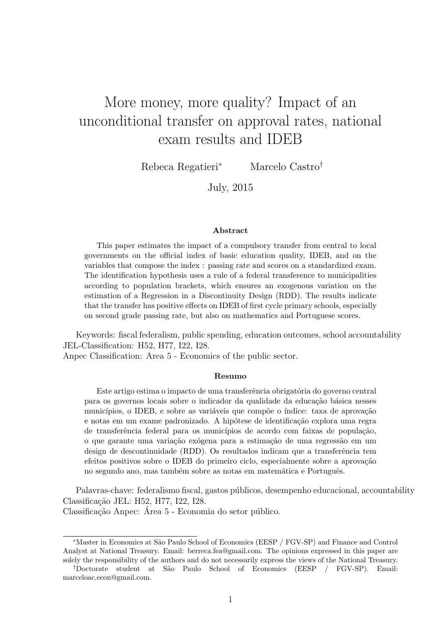# More money, more quality? Impact of an unconditional transfer on approval rates, national exam results and IDEB

Rebeca Regatieri<sup>∗</sup> Marcelo Castro†

July, 2015

#### Abstract

This paper estimates the impact of a compulsory transfer from central to local governments on the official index of basic education quality, IDEB, and on the variables that compose the index : passing rate and scores on a standardized exam. The identification hypothesis uses a rule of a federal transference to municipalities according to population brackets, which ensures an exogenous variation on the estimation of a Regression in a Discontinuity Design (RDD). The results indicate that the transfer has positive effects on IDEB of first cycle primary schools, especially on second grade passing rate, but also on mathematics and Portuguese scores.

Keywords: fiscal federalism, public spending, education outcomes, school accountability JEL-Classification: H52, H77, I22, I28.

Anpec Classification: Area 5 - Economics of the public sector.

#### Resumo

Este artigo estima o impacto de uma transferência obrigatória do governo central para os governos locais sobre o indicador da qualidade da educação básica nesses municípios, o IDEB, e sobre as variáveis que compõe o índice: taxa de aprovação e notas em um exame padronizado. A hipótese de identificação explora uma regra de transferência federal para os municípios de acordo com faixas de população, o que garante uma variação exógena para a estimação de uma regressão em um design de descontinuidade (RDD). Os resultados indicam que a transferência tem efeitos positivos sobre o IDEB do primeiro ciclo, especialmente sobre a aprovação no segundo ano, mas também sobre as notas em matemática e Português.

Palavras-chave: federalismo fiscal, gastos públicos, desempenho educacional, accountability Classificação JEL: H52, H77, I22, I28.

Classificação Anpec: Area 5 - Economia do setor público.

<sup>∗</sup>Master in Economics at S˜ao Paulo School of Economics (EESP / FGV-SP) and Finance and Control Analyst at National Treasury. Email: berreca.fea@gmail.com. The opinions expressed in this paper are solely the responsibility of the authors and do not necessarily express the views of the National Treasury.

<sup>†</sup>Doctorate student at S˜ao Paulo School of Economics (EESP / FGV-SP). Email: marceloac.econ@gmail.com.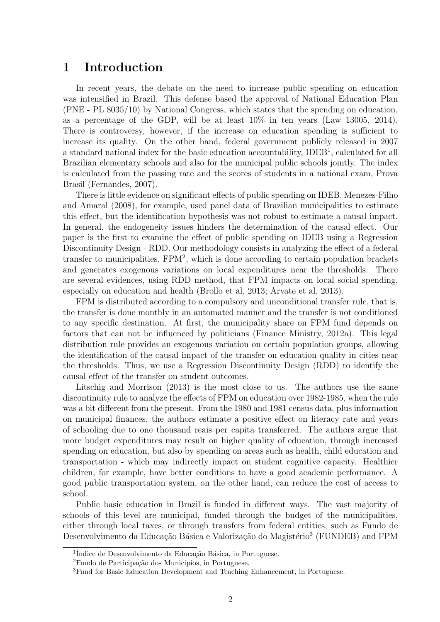### 1 Introduction

In recent years, the debate on the need to increase public spending on education was intensified in Brazil. This defense based the approval of National Education Plan (PNE - PL 8035/10) by National Congress, which states that the spending on education, as a percentage of the GDP, will be at least  $10\%$  in ten years (Law 13005, 2014). There is controversy, however, if the increase on education spending is sufficient to increase its quality. On the other hand, federal government publicly released in 2007 a standard national index for the basic education accountability, IDEB<sup>1</sup>, calculated for all Brazilian elementary schools and also for the municipal public schools jointly. The index is calculated from the passing rate and the scores of students in a national exam, Prova Brasil (Fernandes, 2007).

There is little evidence on significant effects of public spending on IDEB. Menezes-Filho and Amaral (2008), for example, used panel data of Brazilian municipalities to estimate this effect, but the identification hypothesis was not robust to estimate a causal impact. In general, the endogeneity issues hinders the determination of the causal effect. Our paper is the first to examine the effect of public spending on IDEB using a Regression Discontinuity Design - RDD. Our methodology consists in analyzing the effect of a federal transfer to municipalities,  $FPM^2$ , which is done according to certain population brackets and generates exogenous variations on local expenditures near the thresholds. There are several evidences, using RDD method, that FPM impacts on local social spending, especially on education and health (Brollo et al, 2013; Arvate et al, 2013).

FPM is distributed according to a compulsory and unconditional transfer rule, that is, the transfer is done monthly in an automated manner and the transfer is not conditioned to any specific destination. At first, the municipality share on FPM fund depends on factors that can not be influenced by politicians (Finance Ministry, 2012a). This legal distribution rule provides an exogenous variation on certain population groups, allowing the identification of the causal impact of the transfer on education quality in cities near the thresholds. Thus, we use a Regression Discontinuity Design (RDD) to identify the causal effect of the transfer on student outcomes.

Litschig and Morrison (2013) is the most close to us. The authors use the same discontinuity rule to analyze the effects of FPM on education over 1982-1985, when the rule was a bit different from the present. From the 1980 and 1981 census data, plus information on municipal finances, the authors estimate a positive effect on literacy rate and years of schooling due to one thousand reais per capita transferred. The authors argue that more budget expenditures may result on higher quality of education, through increased spending on education, but also by spending on areas such as health, child education and transportation - which may indirectly impact on student cognitive capacity. Healthier children, for example, have better conditions to have a good academic performance. A good public transportation system, on the other hand, can reduce the cost of access to school.

Public basic education in Brazil is funded in different ways. The vast majority of schools of this level are municipal, funded through the budget of the municipalities, either through local taxes, or through transfers from federal entities, such as Fundo de Desenvolvimento da Educação Básica e Valorização do Magistério<sup>3</sup> (FUNDEB) and FPM

 $1$ Índice de Desenvolvimento da Educação Básica, in Portuguese.

<sup>&</sup>lt;sup>2</sup>Fundo de Participação dos Municípios, in Portuguese.

<sup>3</sup>Fund for Basic Education Development and Teaching Enhancement, in Portuguese.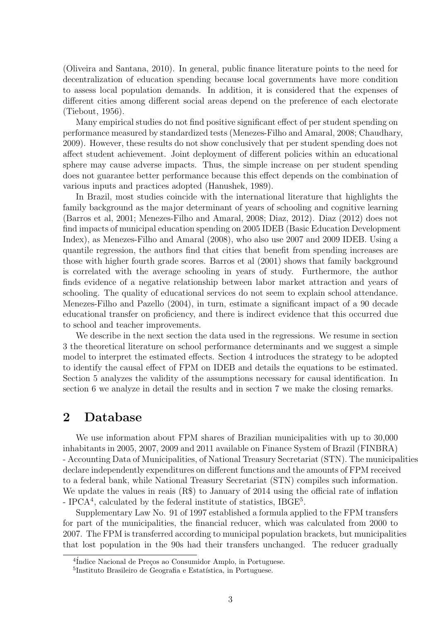(Oliveira and Santana, 2010). In general, public finance literature points to the need for decentralization of education spending because local governments have more condition to assess local population demands. In addition, it is considered that the expenses of different cities among different social areas depend on the preference of each electorate (Tiebout, 1956).

Many empirical studies do not find positive significant effect of per student spending on performance measured by standardized tests (Menezes-Filho and Amaral, 2008; Chaudhary, 2009). However, these results do not show conclusively that per student spending does not affect student achievement. Joint deployment of different policies within an educational sphere may cause adverse impacts. Thus, the simple increase on per student spending does not guarantee better performance because this effect depends on the combination of various inputs and practices adopted (Hanushek, 1989).

In Brazil, most studies coincide with the international literature that highlights the family background as the major determinant of years of schooling and cognitive learning (Barros et al, 2001; Menezes-Filho and Amaral, 2008; Diaz, 2012). Diaz (2012) does not find impacts of municipal education spending on 2005 IDEB (Basic Education Development Index), as Menezes-Filho and Amaral (2008), who also use 2007 and 2009 IDEB. Using a quantile regression, the authors find that cities that benefit from spending increases are those with higher fourth grade scores. Barros et al (2001) shows that family background is correlated with the average schooling in years of study. Furthermore, the author finds evidence of a negative relationship between labor market attraction and years of schooling. The quality of educational services do not seem to explain school attendance. Menezes-Filho and Pazello (2004), in turn, estimate a significant impact of a 90 decade educational transfer on proficiency, and there is indirect evidence that this occurred due to school and teacher improvements.

We describe in the next section the data used in the regressions. We resume in section 3 the theoretical literature on school performance determinants and we suggest a simple model to interpret the estimated effects. Section 4 introduces the strategy to be adopted to identify the causal effect of FPM on IDEB and details the equations to be estimated. Section 5 analyzes the validity of the assumptions necessary for causal identification. In section 6 we analyze in detail the results and in section 7 we make the closing remarks.

## 2 Database

We use information about FPM shares of Brazilian municipalities with up to 30,000 inhabitants in 2005, 2007, 2009 and 2011 available on Finance System of Brazil (FINBRA) - Accounting Data of Municipalities, of National Treasury Secretariat (STN). The municipalities declare independently expenditures on different functions and the amounts of FPM received to a federal bank, while National Treasury Secretariat (STN) compiles such information. We update the values in reais (R\$) to January of 2014 using the official rate of inflation - IPCA<sup>4</sup>, calculated by the federal institute of statistics, IBGE<sup>5</sup>.

Supplementary Law No. 91 of 1997 established a formula applied to the FPM transfers for part of the municipalities, the financial reducer, which was calculated from 2000 to 2007. The FPM is transferred according to municipal population brackets, but municipalities that lost population in the 90s had their transfers unchanged. The reducer gradually

 $\frac{4 \text{Índice Nacional de Preços ao Consumidor Amplo, in Portuguese.}}{4 \text{ } }$ 

<sup>&</sup>lt;sup>5</sup>Instituto Brasileiro de Geografia e Estatística, in Portuguese.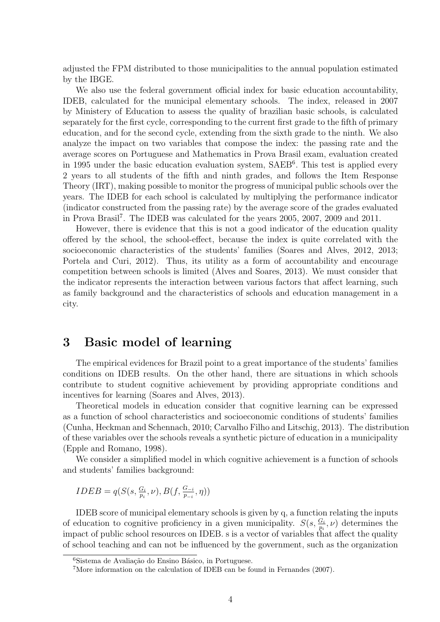adjusted the FPM distributed to those municipalities to the annual population estimated by the IBGE.

We also use the federal government official index for basic education accountability, IDEB, calculated for the municipal elementary schools. The index, released in 2007 by Ministery of Education to assess the quality of brazilian basic schools, is calculated separately for the first cycle, corresponding to the current first grade to the fifth of primary education, and for the second cycle, extending from the sixth grade to the ninth. We also analyze the impact on two variables that compose the index: the passing rate and the average scores on Portuguese and Mathematics in Prova Brasil exam, evaluation created in 1995 under the basic education evaluation system, SAEB<sup>6</sup>. This test is applied every 2 years to all students of the fifth and ninth grades, and follows the Item Response Theory (IRT), making possible to monitor the progress of municipal public schools over the years. The IDEB for each school is calculated by multiplying the performance indicator (indicator constructed from the passing rate) by the average score of the grades evaluated in Prova Brasil<sup>7</sup> . The IDEB was calculated for the years 2005, 2007, 2009 and 2011.

However, there is evidence that this is not a good indicator of the education quality offered by the school, the school-effect, because the index is quite correlated with the socioeconomic characteristics of the students' families (Soares and Alves, 2012, 2013; Portela and Curi, 2012). Thus, its utility as a form of accountability and encourage competition between schools is limited (Alves and Soares, 2013). We must consider that the indicator represents the interaction between various factors that affect learning, such as family background and the characteristics of schools and education management in a city.

### 3 Basic model of learning

The empirical evidences for Brazil point to a great importance of the students' families conditions on IDEB results. On the other hand, there are situations in which schools contribute to student cognitive achievement by providing appropriate conditions and incentives for learning (Soares and Alves, 2013).

Theoretical models in education consider that cognitive learning can be expressed as a function of school characteristics and socioeconomic conditions of students' families (Cunha, Heckman and Schennach, 2010; Carvalho Filho and Litschig, 2013). The distribution of these variables over the schools reveals a synthetic picture of education in a municipality (Epple and Romano, 1998).

We consider a simplified model in which cognitive achievement is a function of schools and students' families background:

$$
IDEB = q(S(s, \frac{G_i}{p_i}, \nu), B(f, \frac{G_{-i}}{p_{-i}}, \eta))
$$

IDEB score of municipal elementary schools is given by q, a function relating the inputs of education to cognitive proficiency in a given municipality.  $S(s, \frac{G_i}{p_i}, \nu)$  determines the impact of public school resources on IDEB. s is a vector of variables that affect the quality of school teaching and can not be influenced by the government, such as the organization

 $6$ Sistema de Avaliação do Ensino Básico, in Portuguese.

<sup>7</sup>More information on the calculation of IDEB can be found in Fernandes (2007).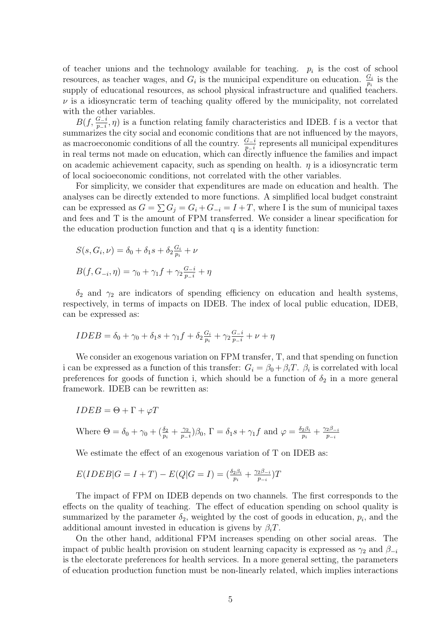of teacher unions and the technology available for teaching.  $p_i$  is the cost of school resources, as teacher wages, and  $G_i$  is the municipal expenditure on education.  $\frac{G_i}{p_i}$  is the supply of educational resources, as school physical infrastructure and qualified teachers.  $\nu$  is a idiosyncratic term of teaching quality offered by the municipality, not correlated with the other variables.

 $B(f, \frac{G-i}{p-i}, \eta)$  is a function relating family characteristics and IDEB. f is a vector that summarizes the city social and economic conditions that are not influenced by the mayors, as macroeconomic conditions of all the country.  $\frac{G-i}{p-i}$  represents all municipal expenditures in real terms not made on education, which can directly influence the families and impact on academic achievement capacity, such as spending on health.  $\eta$  is a idiosyncratic term of local socioeconomic conditions, not correlated with the other variables.

For simplicity, we consider that expenditures are made on education and health. The analyses can be directly extended to more functions. A simplified local budget constraint can be expressed as  $G = \sum G_i = G_i + G_{-i} = I + T$ , where I is the sum of municipal taxes and fees and T is the amount of FPM transferred. We consider a linear specification for the education production function and that q is a identity function:

$$
S(s, G_i, \nu) = \delta_0 + \delta_1 s + \delta_2 \frac{G_i}{p_i} + \nu
$$
  

$$
B(f, G_{-i}, \eta) = \gamma_0 + \gamma_1 f + \gamma_2 \frac{G_{-i}}{p_i} + \eta
$$

 $\delta_2$  and  $\gamma_2$  are indicators of spending efficiency on education and health systems, respectively, in terms of impacts on IDEB. The index of local public education, IDEB, can be expressed as:

$$
IDEB = \delta_0 + \gamma_0 + \delta_1 s + \gamma_1 f + \delta_2 \frac{G_i}{p_i} + \gamma_2 \frac{G_i}{p_i} + \nu + \eta
$$

We consider an exogenous variation on FPM transfer, T, and that spending on function i can be expressed as a function of this transfer:  $G_i = \beta_0 + \beta_i T$ .  $\beta_i$  is correlated with local preferences for goods of function i, which should be a function of  $\delta_2$  in a more general framework. IDEB can be rewritten as:

$$
IDEB = \Theta + \Gamma + \varphi T
$$
  
Where  $\Theta = \delta_0 + \gamma_0 + (\frac{\delta_2}{p_i} + \frac{\gamma_2}{p_{-i}})\beta_0$ ,  $\Gamma = \delta_1 s + \gamma_1 f$  and  $\varphi = \frac{\delta_2 \beta_i}{p_i} + \frac{\gamma_2 \beta_{-i}}{p_{-i}}$ 

We estimate the effect of an exogenous variation of T on IDEB as:

$$
E(IDEB|G = I + T) - E(Q|G = I) = \left(\frac{\delta_2 \beta_i}{p_i} + \frac{\gamma_2 \beta_{-i}}{p_{-i}}\right)T
$$

The impact of FPM on IDEB depends on two channels. The first corresponds to the effects on the quality of teaching. The effect of education spending on school quality is summarized by the parameter  $\delta_2$ , weighted by the cost of goods in education,  $p_i$ , and the additional amount invested in education is givens by  $\beta_i$ T.

On the other hand, additional FPM increases spending on other social areas. The impact of public health provision on student learning capacity is expressed as  $\gamma_2$  and  $\beta_{-i}$ is the electorate preferences for health services. In a more general setting, the parameters of education production function must be non-linearly related, which implies interactions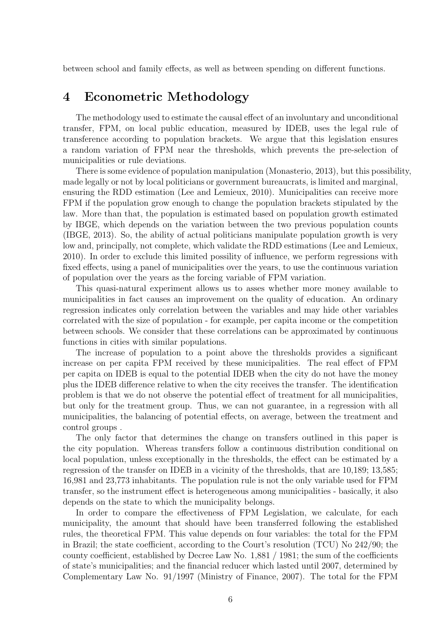between school and family effects, as well as between spending on different functions.

### 4 Econometric Methodology

The methodology used to estimate the causal effect of an involuntary and unconditional transfer, FPM, on local public education, measured by IDEB, uses the legal rule of transference according to population brackets. We argue that this legislation ensures a random variation of FPM near the thresholds, which prevents the pre-selection of municipalities or rule deviations.

There is some evidence of population manipulation (Monasterio, 2013), but this possibility, made legally or not by local politicians or government bureaucrats, is limited and marginal, ensuring the RDD estimation (Lee and Lemieux, 2010). Municipalities can receive more FPM if the population grow enough to change the population brackets stipulated by the law. More than that, the population is estimated based on population growth estimated by IBGE, which depends on the variation between the two previous population counts (IBGE, 2013). So, the ability of actual politicians manipulate population growth is very low and, principally, not complete, which validate the RDD estimations (Lee and Lemieux, 2010). In order to exclude this limited possility of influence, we perform regressions with fixed effects, using a panel of municipalities over the years, to use the continuous variation of population over the years as the forcing variable of FPM variation.

This quasi-natural experiment allows us to asses whether more money available to municipalities in fact causes an improvement on the quality of education. An ordinary regression indicates only correlation between the variables and may hide other variables correlated with the size of population - for example, per capita income or the competition between schools. We consider that these correlations can be approximated by continuous functions in cities with similar populations.

The increase of population to a point above the thresholds provides a significant increase on per capita FPM received by these municipalities. The real effect of FPM per capita on IDEB is equal to the potential IDEB when the city do not have the money plus the IDEB difference relative to when the city receives the transfer. The identification problem is that we do not observe the potential effect of treatment for all municipalities, but only for the treatment group. Thus, we can not guarantee, in a regression with all municipalities, the balancing of potential effects, on average, between the treatment and control groups .

The only factor that determines the change on transfers outlined in this paper is the city population. Whereas transfers follow a continuous distribution conditional on local population, unless exceptionally in the thresholds, the effect can be estimated by a regression of the transfer on IDEB in a vicinity of the thresholds, that are 10,189; 13,585; 16,981 and 23,773 inhabitants. The population rule is not the only variable used for FPM transfer, so the instrument effect is heterogeneous among municipalities - basically, it also depends on the state to which the municipality belongs.

In order to compare the effectiveness of FPM Legislation, we calculate, for each municipality, the amount that should have been transferred following the established rules, the theoretical FPM. This value depends on four variables: the total for the FPM in Brazil; the state coefficient, according to the Court's resolution (TCU) No 242/90; the county coefficient, established by Decree Law No. 1,881 / 1981; the sum of the coefficients of state's municipalities; and the financial reducer which lasted until 2007, determined by Complementary Law No. 91/1997 (Ministry of Finance, 2007). The total for the FPM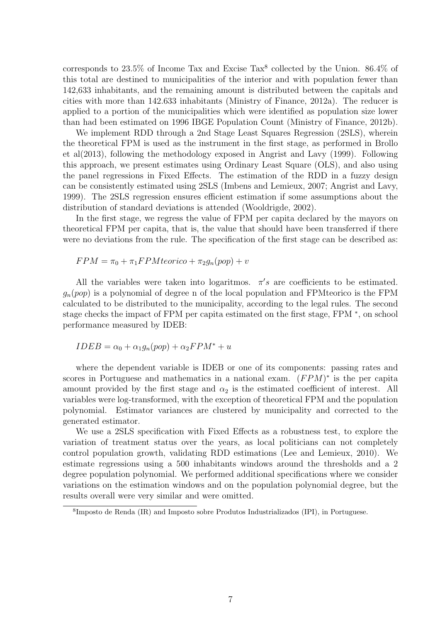corresponds to  $23.5\%$  of Income Tax and Excise Tax<sup>8</sup> collected by the Union.  $86.4\%$  of this total are destined to municipalities of the interior and with population fewer than 142,633 inhabitants, and the remaining amount is distributed between the capitals and cities with more than 142.633 inhabitants (Ministry of Finance, 2012a). The reducer is applied to a portion of the municipalities which were identified as population size lower than had been estimated on 1996 IBGE Population Count (Ministry of Finance, 2012b).

We implement RDD through a 2nd Stage Least Squares Regression (2SLS), wherein the theoretical FPM is used as the instrument in the first stage, as performed in Brollo et al(2013), following the methodology exposed in Angrist and Lavy (1999). Following this approach, we present estimates using Ordinary Least Square (OLS), and also using the panel regressions in Fixed Effects. The estimation of the RDD in a fuzzy design can be consistently estimated using 2SLS (Imbens and Lemieux, 2007; Angrist and Lavy, 1999). The 2SLS regression ensures efficient estimation if some assumptions about the distribution of standard deviations is attended (Wooldrigde, 2002).

In the first stage, we regress the value of FPM per capita declared by the mayors on theoretical FPM per capita, that is, the value that should have been transferred if there were no deviations from the rule. The specification of the first stage can be described as:

$$
FPM = \pi_0 + \pi_1 FPMteorico + \pi_2 g_n (pop) + v
$$

All the variables were taken into logaritmos.  $\pi$ 's are coefficients to be estimated.  $q_n(pop)$  is a polynomial of degree n of the local population and FPM teorico is the FPM calculated to be distributed to the municipality, according to the legal rules. The second stage checks the impact of FPM per capita estimated on the first stage, FPM  $^*$ , on school performance measured by IDEB:

$$
IDEB = \alpha_0 + \alpha_1 g_n (pop) + \alpha_2 FPM^* + u
$$

where the dependent variable is IDEB or one of its components: passing rates and scores in Portuguese and mathematics in a national exam.  $(FPM)^*$  is the per capita amount provided by the first stage and  $\alpha_2$  is the estimated coefficient of interest. All variables were log-transformed, with the exception of theoretical FPM and the population polynomial. Estimator variances are clustered by municipality and corrected to the generated estimator.

We use a 2SLS specification with Fixed Effects as a robustness test, to explore the variation of treatment status over the years, as local politicians can not completely control population growth, validating RDD estimations (Lee and Lemieux, 2010). We estimate regressions using a 500 inhabitants windows around the thresholds and a 2 degree population polynomial. We performed additional specifications where we consider variations on the estimation windows and on the population polynomial degree, but the results overall were very similar and were omitted.

<sup>8</sup> Imposto de Renda (IR) and Imposto sobre Produtos Industrializados (IPI), in Portuguese.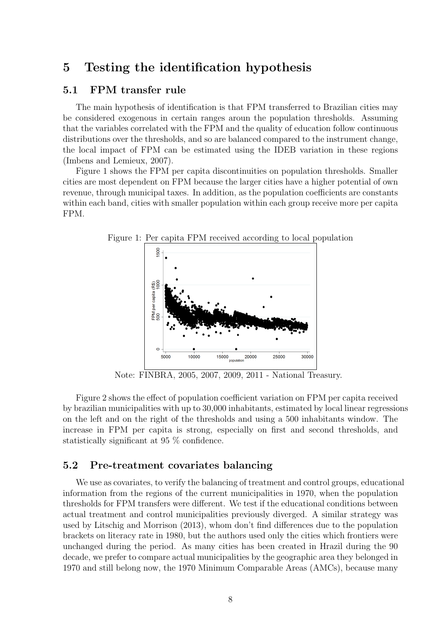# 5 Testing the identification hypothesis

### 5.1 FPM transfer rule

The main hypothesis of identification is that FPM transferred to Brazilian cities may be considered exogenous in certain ranges aroun the population thresholds. Assuming that the variables correlated with the FPM and the quality of education follow continuous distributions over the thresholds, and so are balanced compared to the instrument change, the local impact of FPM can be estimated using the IDEB variation in these regions (Imbens and Lemieux, 2007).

Figure 1 shows the FPM per capita discontinuities on population thresholds. Smaller cities are most dependent on FPM because the larger cities have a higher potential of own revenue, through municipal taxes. In addition, as the population coefficients are constants within each band, cities with smaller population within each group receive more per capita FPM.



Figure 1: Per capita FPM received according to local population

Note: FINBRA, 2005, 2007, 2009, 2011 - National Treasury.

Figure 2 shows the effect of population coefficient variation on FPM per capita received by brazilian municipalities with up to 30,000 inhabitants, estimated by local linear regressions on the left and on the right of the thresholds and using a 500 inhabitants window. The increase in FPM per capita is strong, especially on first and second thresholds, and statistically significant at 95 % confidence.

### 5.2 Pre-treatment covariates balancing

We use as covariates, to verify the balancing of treatment and control groups, educational information from the regions of the current municipalities in 1970, when the population thresholds for FPM transfers were different. We test if the educational conditions between actual treatment and control municipalities previously diverged. A similar strategy was used by Litschig and Morrison (2013), whom don't find differences due to the population brackets on literacy rate in 1980, but the authors used only the cities which frontiers were unchanged during the period. As many cities has been created in Hrazil during the 90 decade, we prefer to compare actual municipalities by the geographic area they belonged in 1970 and still belong now, the 1970 Minimum Comparable Areas (AMCs), because many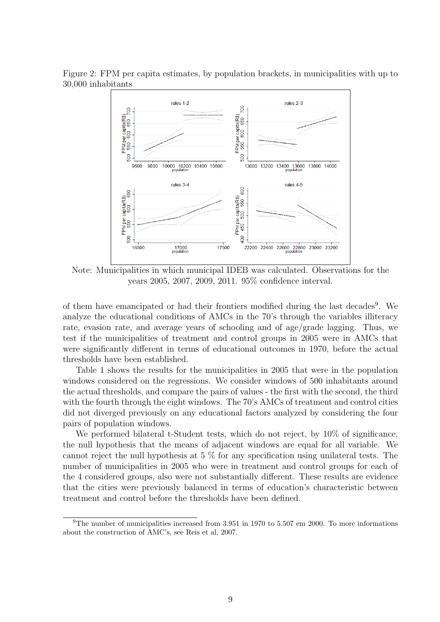

Figure 2: FPM per capita estimates, by population brackets, in municipalities with up to 30,000 inhabitants

Note: Municipalities in which municipal IDEB was calculated. Observations for the years 2005, 2007, 2009, 2011. 95% confidence interval.

of them have emancipated or had their frontiers modified during the last decades<sup>9</sup>. We analyze the educational conditions of AMCs in the 70's through the variables illiteracy rate, evasion rate, and average years of schooling and of age/grade lagging. Thus, we test if the municipalities of treatment and control groups in 2005 were in AMCs that were significantly different in terms of educational outcomes in 1970, before the actual thresholds have been established.

Table 1 shows the results for the municipalities in 2005 that were in the population windows considered on the regressions. We consider windows of 500 inhabitants around the actual thresholds, and compare the pairs of values - the first with the second, the third with the fourth through the eight windows. The 70's AMCs of treatment and control cities did not diverged previously on any educational factors analyzed by considering the four pairs of population windows.

We performed bilateral t-Student tests, which do not reject, by  $10\%$  of significance, the null hypothesis that the means of adjacent windows are equal for all variable. We cannot reject the null hypothesis at 5 % for any specification using unilateral tests. The number of municipalities in 2005 who were in treatment and control groups for each of the 4 considered groups, also were not substantially different. These results are evidence that the cities were previously balanced in terms of education's characteristic between treatment and control before the thresholds have been defined.

 $9$ The number of municipalities increased from 3.951 in 1970 to 5.507 em 2000. To more informations about the construction of AMC's, see Reis et al, 2007.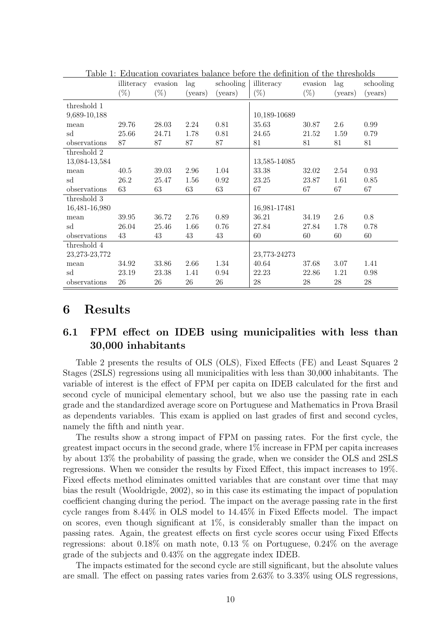|                 | illiteracy<br>$(\%)$ | evasion<br>$(\%)$ | lag<br>(years) | schooling<br>(years) | Table 1. Education covariates balance before the demnition of the timesholds<br>illiteracy<br>$(\%)$ | evasion<br>$(\%)$ | lag<br>(years) | schooling<br>(years) |
|-----------------|----------------------|-------------------|----------------|----------------------|------------------------------------------------------------------------------------------------------|-------------------|----------------|----------------------|
| threshold 1     |                      |                   |                |                      |                                                                                                      |                   |                |                      |
| 9,689-10,188    |                      |                   |                |                      | 10,189-10689                                                                                         |                   |                |                      |
| mean            | 29.76                | 28.03             | 2.24           | 0.81                 | 35.63                                                                                                | 30.87             | 2.6            | 0.99                 |
| sd              | 25.66                | 24.71             | 1.78           | 0.81                 | 24.65                                                                                                | 21.52             | 1.59           | 0.79                 |
| observations    | 87                   | 87                | 87             | 87                   | 81                                                                                                   | 81                | 81             | 81                   |
| threshold 2     |                      |                   |                |                      |                                                                                                      |                   |                |                      |
| 13,084-13,584   |                      |                   |                |                      | 13,585-14085                                                                                         |                   |                |                      |
| mean            | 40.5                 | 39.03             | 2.96           | 1.04                 | 33.38                                                                                                | 32.02             | 2.54           | 0.93                 |
| sd              | 26.2                 | 25.47             | 1.56           | 0.92                 | 23.25                                                                                                | 23.87             | 1.61           | 0.85                 |
| observations    | 63                   | 63                | 63             | 63                   | 67                                                                                                   | 67                | 67             | 67                   |
| threshold 3     |                      |                   |                |                      |                                                                                                      |                   |                |                      |
| 16,481-16,980   |                      |                   |                |                      | 16,981-17481                                                                                         |                   |                |                      |
| mean            | 39.95                | 36.72             | 2.76           | 0.89                 | 36.21                                                                                                | 34.19             | 2.6            | 0.8                  |
| sd              | 26.04                | 25.46             | 1.66           | 0.76                 | 27.84                                                                                                | 27.84             | 1.78           | 0.78                 |
| observations    | 43                   | 43                | 43             | 43                   | 60                                                                                                   | 60                | 60             | 60                   |
| threshold 4     |                      |                   |                |                      |                                                                                                      |                   |                |                      |
| 23, 273-23, 772 |                      |                   |                |                      | 23,773-24273                                                                                         |                   |                |                      |
| mean            | 34.92                | 33.86             | 2.66           | 1.34                 | 40.64                                                                                                | 37.68             | 3.07           | 1.41                 |
| sd              | 23.19                | 23.38             | 1.41           | 0.94                 | 22.23                                                                                                | 22.86             | 1.21           | 0.98                 |
| observations    | 26                   | 26                | 26             | 26                   | 28                                                                                                   | 28                | 28             | $28\,$               |

Table 1: Education covariates balance before the definition of the thresholds

### 6 Results

### 6.1 FPM effect on IDEB using municipalities with less than 30,000 inhabitants

Table 2 presents the results of OLS (OLS), Fixed Effects (FE) and Least Squares 2 Stages (2SLS) regressions using all municipalities with less than 30,000 inhabitants. The variable of interest is the effect of FPM per capita on IDEB calculated for the first and second cycle of municipal elementary school, but we also use the passing rate in each grade and the standardized average score on Portuguese and Mathematics in Prova Brasil as dependents variables. This exam is applied on last grades of first and second cycles, namely the fifth and ninth year.

The results show a strong impact of FPM on passing rates. For the first cycle, the greatest impact occurs in the second grade, where 1% increase in FPM per capita increases by about 13% the probability of passing the grade, when we consider the OLS and 2SLS regressions. When we consider the results by Fixed Effect, this impact increases to 19%. Fixed effects method eliminates omitted variables that are constant over time that may bias the result (Wooldrigde, 2002), so in this case its estimating the impact of population coefficient changing during the period. The impact on the average passing rate in the first cycle ranges from 8.44% in OLS model to 14.45% in Fixed Effects model. The impact on scores, even though significant at 1%, is considerably smaller than the impact on passing rates. Again, the greatest effects on first cycle scores occur using Fixed Effects regressions: about 0.18% on math note, 0.13 % on Portuguese, 0.24% on the average grade of the subjects and 0.43% on the aggregate index IDEB.

The impacts estimated for the second cycle are still significant, but the absolute values are small. The effect on passing rates varies from 2.63% to 3.33% using OLS regressions,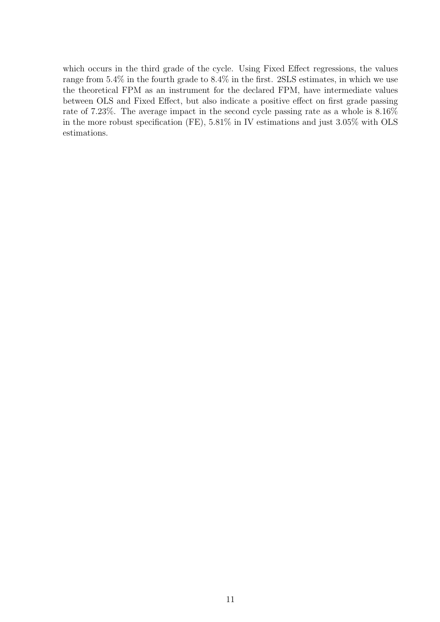which occurs in the third grade of the cycle. Using Fixed Effect regressions, the values range from 5.4% in the fourth grade to 8.4% in the first. 2SLS estimates, in which we use the theoretical FPM as an instrument for the declared FPM, have intermediate values between OLS and Fixed Effect, but also indicate a positive effect on first grade passing rate of 7.23%. The average impact in the second cycle passing rate as a whole is 8.16% in the more robust specification (FE), 5.81% in IV estimations and just 3.05% with OLS estimations.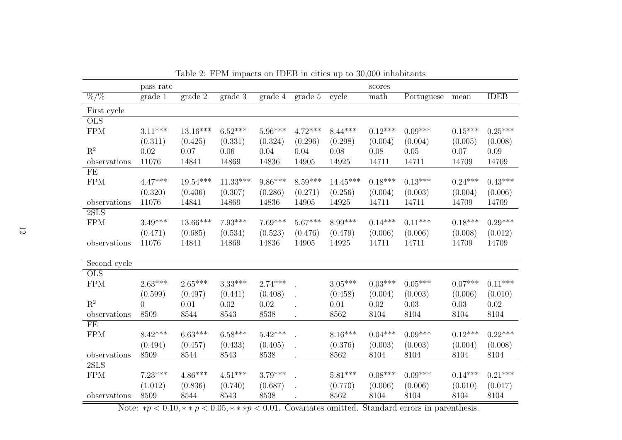|                 | pass rate |            |            |           |           |            | scores    |            |           |             |
|-----------------|-----------|------------|------------|-----------|-----------|------------|-----------|------------|-----------|-------------|
| $\frac{\%}{\%}$ | grade 1   | grade 2    | grade 3    | grade 4   | grade 5   | cycle      | math      | Portuguese | mean      | <b>IDEB</b> |
| First cycle     |           |            |            |           |           |            |           |            |           |             |
| <b>OLS</b>      |           |            |            |           |           |            |           |            |           |             |
| <b>FPM</b>      | $3.11***$ | $13.16***$ | $6.52***$  | $5.96***$ | $4.72***$ | $8.44***$  | $0.12***$ | $0.09***$  | $0.15***$ | $0.25***$   |
|                 | (0.311)   | (0.425)    | (0.331)    | (0.324)   | (0.296)   | (0.298)    | (0.004)   | (0.004)    | (0.005)   | (0.008)     |
| $R^2$           | 0.02      | 0.07       | 0.06       | 0.04      | 0.04      | 0.08       | 0.08      | 0.05       | 0.07      | 0.09        |
| observations    | 11076     | 14841      | 14869      | 14836     | 14905     | 14925      | 14711     | 14711      | 14709     | 14709       |
| FE              |           |            |            |           |           |            |           |            |           |             |
| <b>FPM</b>      | $4.47***$ | $19.54***$ | $11.33***$ | $9.86***$ | $8.59***$ | $14.45***$ | $0.18***$ | $0.13***$  | $0.24***$ | $0.43***$   |
|                 | (0.320)   | (0.406)    | (0.307)    | (0.286)   | (0.271)   | (0.256)    | (0.004)   | (0.003)    | (0.004)   | (0.006)     |
| observations    | 11076     | 14841      | 14869      | 14836     | 14905     | 14925      | 14711     | 14711      | 14709     | 14709       |
| 2SLS            |           |            |            |           |           |            |           |            |           |             |
| <b>FPM</b>      | $3.49***$ | $13.66***$ | $7.93***$  | $7.69***$ | $5.67***$ | 8.99***    | $0.14***$ | $0.11***$  | $0.18***$ | $0.29***$   |
|                 | (0.471)   | (0.685)    | (0.534)    | (0.523)   | (0.476)   | (0.479)    | (0.006)   | (0.006)    | (0.008)   | (0.012)     |
| observations    | 11076     | 14841      | 14869      | 14836     | 14905     | 14925      | 14711     | 14711      | 14709     | 14709       |
|                 |           |            |            |           |           |            |           |            |           |             |
| Second cycle    |           |            |            |           |           |            |           |            |           |             |
| <b>OLS</b>      |           |            |            |           |           |            |           |            |           |             |
| <b>FPM</b>      | $2.63***$ | $2.65***$  | $3.33***$  | $2.74***$ |           | $3.05***$  | $0.03***$ | $0.05***$  | $0.07***$ | $0.11***$   |
|                 | (0.599)   | (0.497)    | (0.441)    | (0.408)   |           | (0.458)    | (0.004)   | (0.003)    | (0.006)   | (0.010)     |
| $R^2$           | $\Omega$  | 0.01       | 0.02       | 0.02      |           | 0.01       | 0.02      | 0.03       | 0.03      | 0.02        |
| observations    | 8509      | 8544       | 8543       | 8538      |           | 8562       | 8104      | 8104       | 8104      | 8104        |
| FE              |           |            |            |           |           |            |           |            |           |             |
| <b>FPM</b>      | $8.42***$ | $6.63***$  | $6.58***$  | $5.42***$ |           | $8.16***$  | $0.04***$ | $0.09***$  | $0.12***$ | $0.22***$   |
|                 | (0.494)   | (0.457)    | (0.433)    | (0.405)   |           | (0.376)    | (0.003)   | (0.003)    | (0.004)   | (0.008)     |
| observations    | 8509      | 8544       | 8543       | 8538      |           | 8562       | 8104      | 8104       | 8104      | 8104        |
| 2SLS            |           |            |            |           |           |            |           |            |           |             |
| <b>FPM</b>      | $7.23***$ | $4.86***$  | $4.51***$  | $3.79***$ |           | $5.81***$  | $0.08***$ | $0.09***$  | $0.14***$ | $0.21***$   |
|                 | (1.012)   | (0.836)    | (0.740)    | (0.687)   |           | (0.770)    | (0.006)   | (0.006)    | (0.010)   | (0.017)     |
| observations    | 8509      | 8544       | 8543       | 8538      |           | 8562       | 8104      | 8104       | 8104      | 8104        |

Table 2: FPM impacts on IDEB in cities up to 30,000 inhabitants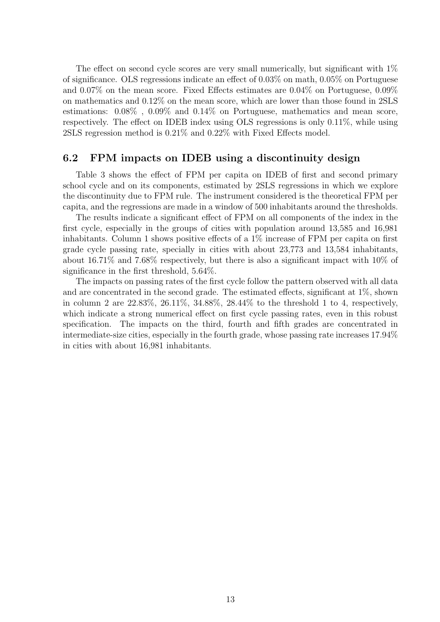The effect on second cycle scores are very small numerically, but significant with  $1\%$ of significance. OLS regressions indicate an effect of 0.03% on math, 0.05% on Portuguese and 0.07% on the mean score. Fixed Effects estimates are 0.04% on Portuguese, 0.09% on mathematics and 0.12% on the mean score, which are lower than those found in 2SLS estimations: 0.08% , 0.09% and 0.14% on Portuguese, mathematics and mean score, respectively. The effect on IDEB index using OLS regressions is only 0.11%, while using 2SLS regression method is 0.21% and 0.22% with Fixed Effects model.

#### 6.2 FPM impacts on IDEB using a discontinuity design

Table 3 shows the effect of FPM per capita on IDEB of first and second primary school cycle and on its components, estimated by 2SLS regressions in which we explore the discontinuity due to FPM rule. The instrument considered is the theoretical FPM per capita, and the regressions are made in a window of 500 inhabitants around the thresholds.

The results indicate a significant effect of FPM on all components of the index in the first cycle, especially in the groups of cities with population around 13,585 and 16,981 inhabitants. Column 1 shows positive effects of a 1% increase of FPM per capita on first grade cycle passing rate, specially in cities with about 23,773 and 13,584 inhabitants, about 16.71% and 7.68% respectively, but there is also a significant impact with 10% of significance in the first threshold, 5.64%.

The impacts on passing rates of the first cycle follow the pattern observed with all data and are concentrated in the second grade. The estimated effects, significant at  $1\%$ , shown in column 2 are 22.83%, 26.11%, 34.88%, 28.44% to the threshold 1 to 4, respectively, which indicate a strong numerical effect on first cycle passing rates, even in this robust specification. The impacts on the third, fourth and fifth grades are concentrated in intermediate-size cities, especially in the fourth grade, whose passing rate increases 17.94% in cities with about 16,981 inhabitants.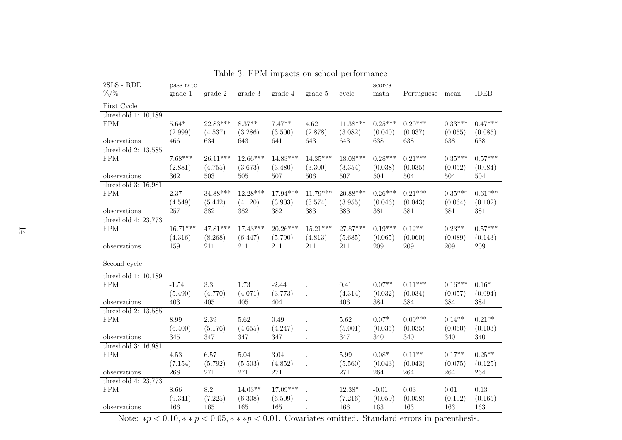| $2SLS$ - $RDD$                        | pass rate      |                |                |                |                |                | scores             |                |                    |                |
|---------------------------------------|----------------|----------------|----------------|----------------|----------------|----------------|--------------------|----------------|--------------------|----------------|
| $%$ /%                                | grade 1        | grade 2        | grade 3        | grade 4        | grade 5        | cycle          | math               | Portuguese     | mean               | <b>IDEB</b>    |
| First Cycle                           |                |                |                |                |                |                |                    |                |                    |                |
| threshold $1: 10,189$                 |                |                |                |                |                |                |                    |                |                    |                |
| <b>FPM</b>                            | $5.64*$        | 22.83***       | $8.37**$       | $7.47**$       | 4.62           | $11.38***$     | $0.25***$          | $0.20***$      | $0.33***$          | $0.47***$      |
|                                       | (2.999)        | (4.537)        | (3.286)        | (3.500)        | (2.878)        | (3.082)        | (0.040)            | (0.037)        | (0.055)            | (0.085)        |
| observations<br>threshold $2: 13,585$ | 466            | 634            | 643            | 641            | 643            | 643            | 638                | 638            | 638                | 638            |
| ${\rm FPM}$                           | $7.68***$      | $26.11***$     | $12.66***$     | $14.83***$     | $14.35***$     | $18.08***$     | $0.28***$          | $0.21***$      | $0.35***$          | $0.57***$      |
|                                       | (2.881)        | (4.755)        | (3.673)        | (3.480)        | (3.300)        | (3.354)        | (0.038)            | (0.035)        | (0.052)            | (0.084)        |
| observations                          | 362            | 503            | 505            | 507            | 506            | 507            | 504                | 504            | 504                | 504            |
| threshold $3: 16,981$                 |                |                |                |                |                |                |                    |                |                    |                |
| ${\rm FPM}$                           | 2.37           | $34.88***$     | $12.28***$     | $17.94***$     | $11.79***$     | 20.88***       | $0.26***$          | $0.21***$      | $0.35***$          | $0.61***$      |
|                                       | (4.549)        | (5.442)        | (4.120)        | (3.903)        | (3.574)        | (3.955)        | (0.046)            | (0.043)        | (0.064)            | (0.102)        |
| observations                          | $257\,$        | 382            | 382            | 382            | 383            | 383            | 381                | 381            | 381                | 381            |
| threshold 4: $23,773$                 |                |                |                |                |                |                |                    |                |                    |                |
| ${\rm FPM}$                           | $16.71***$     | 47.81***       | $17.43***$     | $20.26***$     | $15.21***$     | 27.87***       | $0.19***$          | $0.12**$       | $0.23**$           | $0.57***$      |
| observations                          | (4.316)<br>159 | (8.268)<br>211 | (6.447)<br>211 | (5.790)<br>211 | (4.813)<br>211 | (5.685)<br>211 | (0.065)<br>$209\,$ | (0.060)<br>209 | (0.089)<br>$209\,$ | (0.143)<br>209 |
|                                       |                |                |                |                |                |                |                    |                |                    |                |
| Second cycle                          |                |                |                |                |                |                |                    |                |                    |                |
| threshold 1: $10,189$                 |                |                |                |                |                |                |                    |                |                    |                |
| ${\rm FPM}$                           | $-1.54$        | $3.3\,$        | 1.73           | $-2.44$        |                | 0.41           | $0.07^{\ast\ast}$  | $0.11***$      | $0.16***$          | $0.16*$        |
|                                       | (5.490)        | (4.770)        | (4.071)        | (3.773)        |                | (4.314)        | (0.032)            | (0.034)        | (0.057)            | (0.094)        |
| observations                          | 403            | $405\,$        | $405\,$        | 404            |                | 406            | 384                | 384            | 384                | $384\,$        |
| threshold $2: 13,585$                 |                |                |                |                |                |                |                    |                |                    |                |
| ${\rm FPM}$                           | 8.99           | 2.39           | 5.62           | 0.49           |                | 5.62           | $0.07*$            | $0.09***$      | $0.14**$           | $0.21**$       |
|                                       | (6.400)        | (5.176)        | (4.655)        | (4.247)        |                | (5.001)        | (0.035)            | (0.035)        | (0.060)            | (0.103)        |
| observations<br>threshold $3: 16,981$ | 345            | 347            | 347            | 347            |                | 347            | 340                | 340            | 340                | $340\,$        |
| ${\rm FPM}$                           | 4.53           | 6.57           | 5.04           | 3.04           |                | 5.99           | $0.08*$            | $0.11**$       | $0.17**$           | $0.25***$      |
|                                       | (7.154)        | (5.792)        | (5.503)        | (4.852)        |                | (5.560)        | (0.043)            | (0.043)        | (0.075)            | (0.125)        |
| observations                          | 268            | 271            | 271            | 271            |                | 271            | 264                | 264            | 264                | 264            |
| threshold 4: $23,773$                 |                |                |                |                |                |                |                    |                |                    |                |
| <b>FPM</b>                            | 8.66           | 8.2            | $14.03**$      | 17.09***       |                | 12.38*         | $-0.01$            | 0.03           | 0.01               | 0.13           |
|                                       | (9.341)        | (7.225)        | (6.308)        | (6.509)        |                | (7.216)        | (0.059)            | (0.058)        | (0.102)            | (0.165)        |
| observations                          | 166            | 165            | 165            | 165            |                | 166            | 163                | 163            | 163                | 163            |

Table 3: FPM impacts on school performance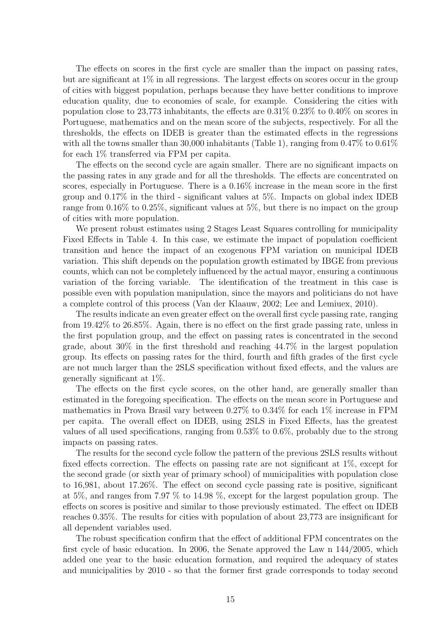The effects on scores in the first cycle are smaller than the impact on passing rates, but are significant at 1% in all regressions. The largest effects on scores occur in the group of cities with biggest population, perhaps because they have better conditions to improve education quality, due to economies of scale, for example. Considering the cities with population close to 23,773 inhabitants, the effects are  $0.31\%$   $0.23\%$  to  $0.40\%$  on scores in Portuguese, mathematics and on the mean score of the subjects, respectively. For all the thresholds, the effects on IDEB is greater than the estimated effects in the regressions with all the towns smaller than 30,000 inhabitants (Table 1), ranging from  $0.47\%$  to  $0.61\%$ for each 1% transferred via FPM per capita.

The effects on the second cycle are again smaller. There are no significant impacts on the passing rates in any grade and for all the thresholds. The effects are concentrated on scores, especially in Portuguese. There is a 0.16% increase in the mean score in the first group and 0.17% in the third - significant values at 5%. Impacts on global index IDEB range from 0.16% to 0.25%, significant values at 5%, but there is no impact on the group of cities with more population.

We present robust estimates using 2 Stages Least Squares controlling for municipality Fixed Effects in Table 4. In this case, we estimate the impact of population coefficient transition and hence the impact of an exogenous FPM variation on municipal IDEB variation. This shift depends on the population growth estimated by IBGE from previous counts, which can not be completely influenced by the actual mayor, ensuring a continuous variation of the forcing variable. The identification of the treatment in this case is possible even with population manipulation, since the mayors and politicians do not have a complete control of this process (Van der Klaauw, 2002; Lee and Lemiuex, 2010).

The results indicate an even greater effect on the overall first cycle passing rate, ranging from 19.42% to 26.85%. Again, there is no effect on the first grade passing rate, unless in the first population group, and the effect on passing rates is concentrated in the second grade, about 30% in the first threshold and reaching 44.7% in the largest population group. Its effects on passing rates for the third, fourth and fifth grades of the first cycle are not much larger than the 2SLS specification without fixed effects, and the values are generally significant at 1%.

The effects on the first cycle scores, on the other hand, are generally smaller than estimated in the foregoing specification. The effects on the mean score in Portuguese and mathematics in Prova Brasil vary between 0.27% to 0.34% for each 1% increase in FPM per capita. The overall effect on IDEB, using 2SLS in Fixed Effects, has the greatest values of all used specifications, ranging from 0.53% to 0.6%, probably due to the strong impacts on passing rates.

The results for the second cycle follow the pattern of the previous 2SLS results without fixed effects correction. The effects on passing rate are not significant at 1%, except for the second grade (or sixth year of primary school) of municipalities with population close to 16,981, about 17.26%. The effect on second cycle passing rate is positive, significant at 5%, and ranges from 7.97 % to 14.98 %, except for the largest population group. The effects on scores is positive and similar to those previously estimated. The effect on IDEB reaches 0.35%. The results for cities with population of about 23,773 are insignificant for all dependent variables used.

The robust specification confirm that the effect of additional FPM concentrates on the first cycle of basic education. In 2006, the Senate approved the Law n 144/2005, which added one year to the basic education formation, and required the adequacy of states and municipalities by 2010 - so that the former first grade corresponds to today second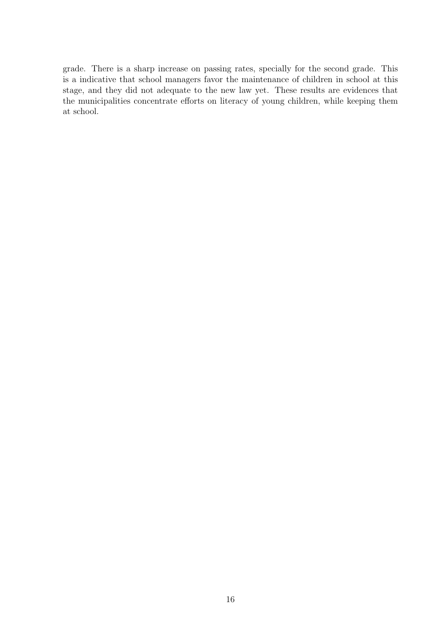grade. There is a sharp increase on passing rates, specially for the second grade. This is a indicative that school managers favor the maintenance of children in school at this stage, and they did not adequate to the new law yet. These results are evidences that the municipalities concentrate efforts on literacy of young children, while keeping them at school.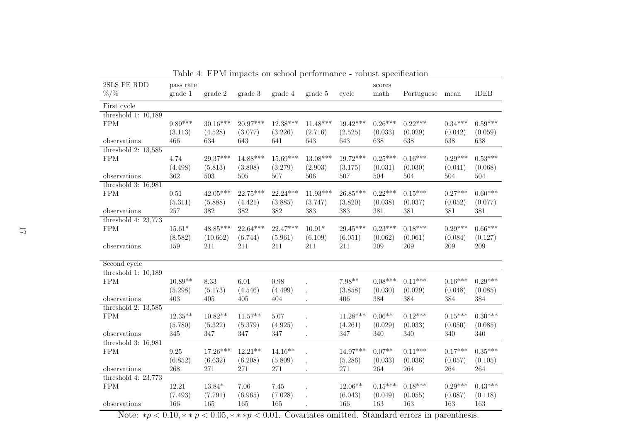| 2SLS FE RDD                           | pass rate  |            |            |            |                      |            | scores    |            |           |             |
|---------------------------------------|------------|------------|------------|------------|----------------------|------------|-----------|------------|-----------|-------------|
| $% /$ %                               | grade 1    | grade 2    | grade 3    | grade 4    | grade 5              | cycle      | math      | Portuguese | mean      | <b>IDEB</b> |
| First cycle                           |            |            |            |            |                      |            |           |            |           |             |
| threshold $1: 10,189$                 |            |            |            |            |                      |            |           |            |           |             |
| <b>FPM</b>                            | 9.89***    | $30.16***$ | 20.97***   | $12.38***$ | $11.48***$           | $19.42***$ | $0.26***$ | $0.22***$  | $0.34***$ | $0.59***$   |
|                                       | (3.113)    | (4.528)    | (3.077)    | (3.226)    | (2.716)              | (2.525)    | (0.033)   | (0.029)    | (0.042)   | (0.059)     |
| observations                          | 466        | 634        | 643        | 641        | 643                  | 643        | 638       | 638        | 638       | 638         |
| threshold $2: 13,585$<br><b>FPM</b>   | 4.74       | 29.37***   | $14.88***$ | $15.69***$ | 13.08***             | 19.72***   | $0.25***$ | $0.16***$  | $0.29***$ | $0.53***$   |
|                                       | (4.498)    | (5.813)    | (3.808)    | (3.279)    | (2.903)              | (3.175)    | (0.031)   | (0.030)    | (0.041)   | (0.068)     |
| observations                          | 362        | 503        | 505        | 507        | 506                  | 507        | 504       | 504        | $504\,$   | $504\,$     |
| threshold $3: 16,981$                 |            |            |            |            |                      |            |           |            |           |             |
| <b>FPM</b>                            | $0.51\,$   | $42.05***$ | $22.75***$ | $22.24***$ | $11.93***$           | $26.85***$ | $0.22***$ | $0.15***$  | $0.27***$ | $0.60***$   |
|                                       | (5.311)    | (5.888)    | (4.421)    | (3.885)    | (3.747)              | (3.820)    | (0.038)   | (0.037)    | (0.052)   | (0.077)     |
| observations                          | $257\,$    | 382        | 382        | 382        | 383                  | 383        | 381       | 381        | 381       | 381         |
| threshold 4: $23,773$                 |            |            |            |            |                      |            |           |            |           |             |
| <b>FPM</b>                            | $15.61*$   | $48.85***$ | $22.64***$ | 22.47***   | $10.91*$             | 29.45***   | $0.23***$ | $0.18***$  | $0.29***$ | $0.66***$   |
|                                       | (8.582)    | (10.662)   | (6.744)    | (5.961)    | (6.109)              | (6.051)    | (0.062)   | (0.061)    | (0.084)   | (0.127)     |
| observations                          | 159        | 211        | $211\,$    | 211        | 211                  | 211        | $209\,$   | 209        | 209       | $209\,$     |
| Second cycle                          |            |            |            |            |                      |            |           |            |           |             |
| threshold $1: 10,189$                 |            |            |            |            |                      |            |           |            |           |             |
| ${\rm FPM}$                           | $10.89**$  | 8.33       | 6.01       | 0.98       |                      | $7.98**$   | $0.08***$ | $0.11***$  | $0.16***$ | $0.29***$   |
|                                       | (5.298)    | (5.173)    | (4.546)    | (4.499)    | $\ddot{\phantom{0}}$ | (3.858)    | (0.030)   | (0.029)    | (0.048)   | (0.085)     |
| observations                          | 403        | $405\,$    | $405\,$    | 404        |                      | 406        | 384       | 384        | 384       | 384         |
| threshold $2: 13,585$                 |            |            |            |            |                      |            |           |            |           |             |
| <b>FPM</b>                            | $12.35***$ | $10.82**$  | $11.57**$  | 5.07       |                      | $11.28***$ | $0.06**$  | $0.12***$  | $0.15***$ | $0.30***$   |
|                                       | (5.780)    | (5.322)    | (5.379)    | (4.925)    |                      | (4.261)    | (0.029)   | (0.033)    | (0.050)   | (0.085)     |
| observations<br>threshold $3: 16,981$ | 345        | 347        | $347\,$    | 347        |                      | 347        | 340       | 340        | 340       | $340\,$     |
| ${\rm FPM}$                           | 9.25       | $17.26***$ | $12.21***$ | $14.16**$  |                      | $14.97***$ | $0.07**$  | $0.11***$  | $0.17***$ | $0.35***$   |
|                                       | (6.852)    | (6.632)    | (6.208)    | (5.809)    |                      | (5.286)    | (0.033)   | (0.036)    | (0.057)   | (0.105)     |
| observations                          | 268        | 271        | 271        | 271        |                      | 271        | $264\,$   | 264        | 264       | $264\,$     |
| threshold 4: $23,773$                 |            |            |            |            |                      |            |           |            |           |             |
| ${\rm FPM}$                           | 12.21      | $13.84*$   | 7.06       | 7.45       |                      | $12.06**$  | $0.15***$ | $0.18***$  | $0.29***$ | $0.43***$   |
|                                       | (7.493)    | (7.791)    | (6.965)    | (7.028)    |                      | (6.043)    | (0.049)   | (0.055)    | (0.087)   | (0.118)     |
| observations                          | 166        | 165        | 165        | 165        |                      | 166        | 163       | 163        | 163       | 163         |

Table 4: FPM impacts on school performance - robust specification

Note:  $*p < 0.10, **p < 0.05, ***p < 0.01$ . Covariates omitted. Standard errors in parenthesis.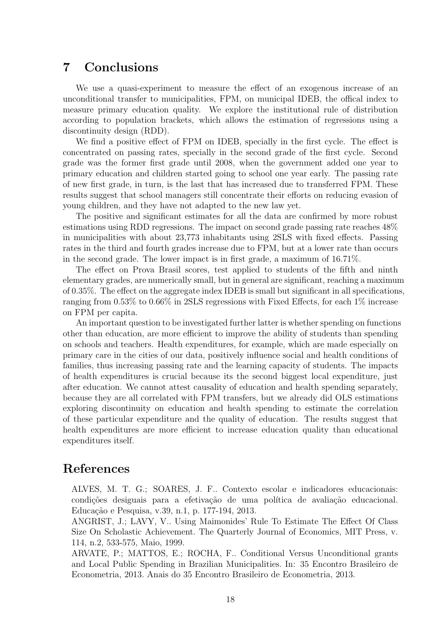## 7 Conclusions

We use a quasi-experiment to measure the effect of an exogenous increase of an unconditional transfer to municipalities, FPM, on municipal IDEB, the offical index to measure primary education quality. We explore the institutional rule of distribution according to population brackets, which allows the estimation of regressions using a discontinuity design (RDD).

We find a positive effect of FPM on IDEB, specially in the first cycle. The effect is concentrated on passing rates, specially in the second grade of the first cycle. Second grade was the former first grade until 2008, when the government added one year to primary education and children started going to school one year early. The passing rate of new first grade, in turn, is the last that has increased due to transferred FPM. These results suggest that school managers still concentrate their efforts on reducing evasion of young children, and they have not adapted to the new law yet.

The positive and significant estimates for all the data are confirmed by more robust estimations using RDD regressions. The impact on second grade passing rate reaches 48% in municipalities with about 23,773 inhabitants using 2SLS with fixed effects. Passing rates in the third and fourth grades increase due to FPM, but at a lower rate than occurs in the second grade. The lower impact is in first grade, a maximum of 16.71%.

The effect on Prova Brasil scores, test applied to students of the fifth and ninth elementary grades, are numerically small, but in general are significant, reaching a maximum of 0.35%. The effect on the aggregate index IDEB is small but significant in all specifications, ranging from 0.53% to 0.66% in 2SLS regressions with Fixed Effects, for each 1% increase on FPM per capita.

An important question to be investigated further latter is whether spending on functions other than education, are more efficient to improve the ability of students than spending on schools and teachers. Health expenditures, for example, which are made especially on primary care in the cities of our data, positively influence social and health conditions of families, thus increasing passing rate and the learning capacity of students. The impacts of health expenditures is crucial because its the second biggest local expenditure, just after education. We cannot attest causality of education and health spending separately, because they are all correlated with FPM transfers, but we already did OLS estimations exploring discontinuity on education and health spending to estimate the correlation of these particular expenditure and the quality of education. The results suggest that health expenditures are more efficient to increase education quality than educational expenditures itself.

### References

ALVES, M. T. G.; SOARES, J. F.. Contexto escolar e indicadores educacionais: condições desiguais para a efetivação de uma política de avaliação educacional. Educação e Pesquisa, v.39, n.1, p. 177-194, 2013.

ANGRIST, J.; LAVY, V.. Using Maimonides' Rule To Estimate The Effect Of Class Size On Scholastic Achievement. The Quarterly Journal of Economics, MIT Press, v. 114, n.2, 533-575, Maio, 1999.

ARVATE, P.; MATTOS, E.; ROCHA, F.. Conditional Versus Unconditional grants and Local Public Spending in Brazilian Municipalities. In: 35 Encontro Brasileiro de Econometria, 2013. Anais do 35 Encontro Brasileiro de Econometria, 2013.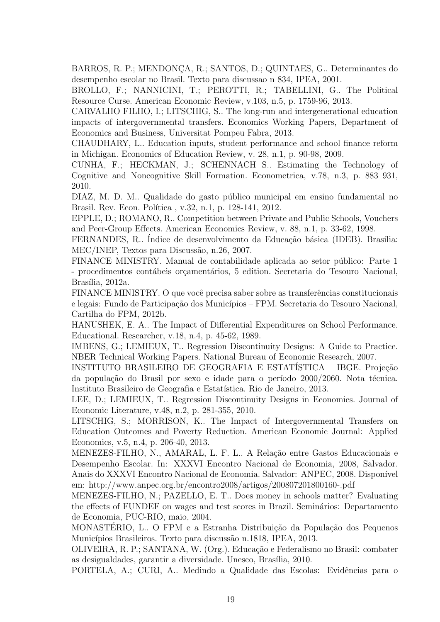BARROS, R. P.; MENDONÇA, R.; SANTOS, D.; QUINTAES, G.. Determinantes do desempenho escolar no Brasil. Texto para discussao n 834, IPEA, 2001.

BROLLO, F.; NANNICINI, T.; PEROTTI, R.; TABELLINI, G.. The Political Resource Curse. American Economic Review, v.103, n.5, p. 1759-96, 2013.

CARVALHO FILHO, I.; LITSCHIG, S.. The long-run and intergenerational education impacts of intergovernmental transfers. Economics Working Papers, Department of Economics and Business, Universitat Pompeu Fabra, 2013.

CHAUDHARY, L.. Education inputs, student performance and school finance reform in Michigan. Economics of Education Review, v. 28, n.1, p. 90-98, 2009.

CUNHA, F.; HECKMAN, J.; SCHENNACH S.. Estimating the Technology of Cognitive and Noncognitive Skill Formation. Econometrica, v.78, n.3, p. 883–931, 2010.

DIAZ, M. D. M.. Qualidade do gasto público municipal em ensino fundamental no Brasil. Rev. Econ. Política, v.32, n.1, p. 128-141, 2012.

EPPLE, D.; ROMANO, R.. Competition between Private and Public Schools, Vouchers and Peer-Group Effects. American Economics Review, v. 88, n.1, p. 33-62, 1998.

FERNANDES, R.. Índice de desenvolvimento da Educação básica (IDEB). Brasília: MEC/INEP, Textos para Discussão, n.26, 2007.

FINANCE MINISTRY. Manual de contabilidade aplicada ao setor público: Parte 1 - procedimentos contábeis orgamentários, 5 edition. Secretaria do Tesouro Nacional, Brasília, 2012a.

FINANCE MINISTRY. O que você precisa saber sobre as transferências constitucionais e legais: Fundo de Participação dos Municípios – FPM. Secretaria do Tesouro Nacional, Cartilha do FPM, 2012b.

HANUSHEK, E. A.. The Impact of Differential Expenditures on School Performance. Educational. Researcher, v.18, n.4, p. 45-62, 1989.

IMBENS, G.; LEMIEUX, T.. Regression Discontinuity Designs: A Guide to Practice. NBER Technical Working Papers. National Bureau of Economic Research, 2007.

INSTITUTO BRASILEIRO DE GEOGRAFIA E ESTATÍSTICA – IBGE. Projeção da população do Brasil por sexo e idade para o período 2000/2060. Nota técnica. Instituto Brasileiro de Geografia e Estatística. Rio de Janeiro, 2013.

LEE, D.; LEMIEUX, T.. Regression Discontinuity Designs in Economics. Journal of Economic Literature, v.48, n.2, p. 281-355, 2010.

LITSCHIG, S.; MORRISON, K.. The Impact of Intergovernmental Transfers on Education Outcomes and Poverty Reduction. American Economic Journal: Applied Economics, v.5, n.4, p. 206-40, 2013.

MENEZES-FILHO, N., AMARAL, L. F. L.. A Relação entre Gastos Educacionais e Desempenho Escolar. In: XXXVI Encontro Nacional de Economia, 2008, Salvador. Anais do XXXVI Encontro Nacional de Economia. Salvador: ANPEC, 2008. Disponível em: http://www.anpec.org.br/encontro2008/artigos/200807201800160-.pdf

MENEZES-FILHO, N.; PAZELLO, E. T.. Does money in schools matter? Evaluating the effects of FUNDEF on wages and test scores in Brazil. Seminários: Departamento de Economia, PUC-RIO, maio, 2004.

MONASTERIO, L.. O FPM e a Estranha Distribuição da População dos Pequenos Municípios Brasileiros. Texto para discussão n.1818, IPEA, 2013.

OLIVEIRA, R. P.; SANTANA, W. (Org.). Educa¸c˜ao e Federalismo no Brasil: combater as desigualdades, garantir a diversidade. Unesco, Brasília, 2010.

PORTELA, A.; CURI, A.. Medindo a Qualidade das Escolas: Evidências para o